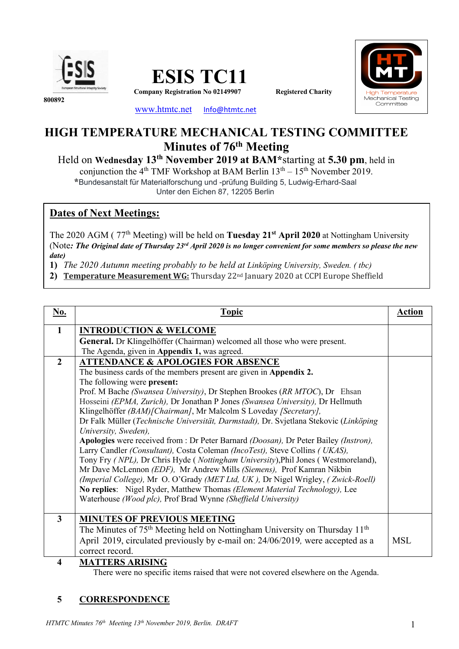





**800892**

www.htmtc.net Info@htmtc.net

# **HIGH TEMPERATURE MECHANICAL TESTING COMMITTEE Minutes of 76th Meeting**

Held on **Wednesday 13th November 2019 at BAM\***starting at **5.30 pm**, held in

conjunction the  $4<sup>th</sup>$  TMF Workshop at BAM Berlin  $13<sup>th</sup> - 15<sup>th</sup>$  November 2019. **\***Bundesanstalt für Materialforschung und -prüfung Building 5, Ludwig-Erhard-Saal

Unter den Eichen 87, 12205 Berlin

# **Dates of Next Meetings:**

The 2020 AGM ( 77th Meeting) will be held on **Tuesday 21st April 2020** at Nottingham University (Note*: The Original date of Thursday 23rd April 2020 is no longer convenient for some members so please the new date)*

**1)** *The 2020 Autumn meeting probably to be held at Linköping University, Sweden. ( tbc)* 

2) **Temperature Measurement WG:** Thursday 22<sup>nd</sup> January 2020 at CCPI Europe Sheffield

| No.            | <b>Topic</b>                                                                                                                                               | <b>Action</b> |
|----------------|------------------------------------------------------------------------------------------------------------------------------------------------------------|---------------|
| $\mathbf{1}$   | <b>INTRODUCTION &amp; WELCOME</b>                                                                                                                          |               |
|                | General. Dr Klingelhöffer (Chairman) welcomed all those who were present.                                                                                  |               |
|                | The Agenda, given in Appendix 1, was agreed.                                                                                                               |               |
| $\overline{2}$ | <b>ATTENDANCE &amp; APOLOGIES FOR ABSENCE</b>                                                                                                              |               |
|                | The business cards of the members present are given in Appendix 2.                                                                                         |               |
|                | The following were present:                                                                                                                                |               |
|                | Prof. M Bache (Swansea University), Dr Stephen Brookes (RR MTOC), Dr Ehsan                                                                                 |               |
|                | Hosseini (EPMA, Zurich), Dr Jonathan P Jones (Swansea University), Dr Hellmuth                                                                             |               |
|                | Klingelhöffer (BAM) [Chairman], Mr Malcolm S Loveday [Secretary],                                                                                          |               |
|                | Dr Falk Müller (Technische Universität, Darmstadt), Dr. Svjetlana Stekovic (Linköping                                                                      |               |
|                | University, Sweden),                                                                                                                                       |               |
|                | Apologies were received from : Dr Peter Barnard (Doosan), Dr Peter Bailey (Instron),                                                                       |               |
|                | Larry Candler (Consultant), Costa Coleman (IncoTest), Steve Collins (UKAS),                                                                                |               |
|                | Tony Fry (NPL), Dr Chris Hyde (Nottingham University), Phil Jones (Westmoreland),<br>Mr Dave McLennon (EDF), Mr Andrew Mills (Siemens), Prof Kamran Nikbin |               |
|                | (Imperial College), Mr O. O'Grady (MET Ltd, UK), Dr Nigel Wrigley, (Zwick-Roell)                                                                           |               |
|                | No replies: Nigel Ryder, Matthew Thomas (Element Material Technology), Lee                                                                                 |               |
|                | Waterhouse (Wood plc), Prof Brad Wynne (Sheffield University)                                                                                              |               |
|                |                                                                                                                                                            |               |
| $\overline{3}$ | <b>MINUTES OF PREVIOUS MEETING</b>                                                                                                                         |               |
|                | The Minutes of 75 <sup>th</sup> Meeting held on Nottingham University on Thursday 11 <sup>th</sup>                                                         |               |
|                | April 2019, circulated previously by e-mail on: 24/06/2019, were accepted as a                                                                             | <b>MSL</b>    |
|                | correct record.                                                                                                                                            |               |
| 4              | <b>MATTERS ARISING</b>                                                                                                                                     |               |

There were no specific items raised that were not covered elsewhere on the Agenda.

# **5 CORRESPONDENCE**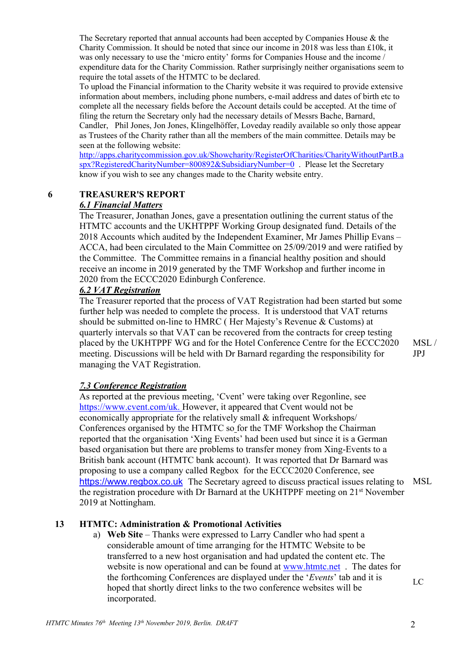The Secretary reported that annual accounts had been accepted by Companies House & the Charity Commission. It should be noted that since our income in 2018 was less than £10k, it was only necessary to use the 'micro entity' forms for Companies House and the income / expenditure data for the Charity Commission. Rather surprisingly neither organisations seem to require the total assets of the HTMTC to be declared.

To upload the Financial information to the Charity website it was required to provide extensive information about members, including phone numbers, e-mail address and dates of birth etc to complete all the necessary fields before the Account details could be accepted. At the time of filing the return the Secretary only had the necessary details of Messrs Bache, Barnard, Candler, Phil Jones, Jon Jones, Klingelhöffer, Loveday readily available so only those appear as Trustees of the Charity rather than all the members of the main committee. Details may be seen at the following website:

http://apps.charitycommission.gov.uk/Showcharity/RegisterOfCharities/CharityWithoutPartB.a spx?RegisteredCharityNumber=800892&SubsidiaryNumber=0 . Please let the Secretary know if you wish to see any changes made to the Charity website entry.

# **6 TREASURER'S REPORT**

# *6.1 Financial Matters*

The Treasurer, Jonathan Jones, gave a presentation outlining the current status of the HTMTC accounts and the UKHTPPF Working Group designated fund. Details of the 2018 Accounts which audited by the Independent Examiner, Mr James Phillip Evans – ACCA, had been circulated to the Main Committee on 25/09/2019 and were ratified by the Committee. The Committee remains in a financial healthy position and should receive an income in 2019 generated by the TMF Workshop and further income in 2020 from the ECCC2020 Edinburgh Conference.

# *6.2 VAT Registration*

The Treasurer reported that the process of VAT Registration had been started but some further help was needed to complete the process. It is understood that VAT returns should be submitted on-line to HMRC ( Her Majesty's Revenue & Customs) at quarterly intervals so that VAT can be recovered from the contracts for creep testing placed by the UKHTPPF WG and for the Hotel Conference Centre for the ECCC2020 meeting. Discussions will be held with Dr Barnard regarding the responsibility for managing the VAT Registration.

# *7.3 Conference Registration*

As reported at the previous meeting, 'Cvent' were taking over Regonline, see https://www.cvent.com/uk. However, it appeared that Cvent would not be economically appropriate for the relatively small & infrequent Workshops/ Conferences organised by the HTMTC so for the TMF Workshop the Chairman reported that the organisation 'Xing Events' had been used but since it is a German based organisation but there are problems to transfer money from Xing-Events to a British bank account (HTMTC bank account). It was reported that Dr Barnard was proposing to use a company called Regbox for the ECCC2020 Conference, see https://www.regbox.co.uk The Secretary agreed to discuss practical issues relating to MSL the registration procedure with Dr Barnard at the UKHTPPF meeting on 21<sup>st</sup> November 2019 at Nottingham.

# **13 HTMTC: Administration & Promotional Activities**

a) **Web Site** – Thanks were expressed to Larry Candler who had spent a considerable amount of time arranging for the HTMTC Website to be transferred to a new host organisation and had updated the content etc. The website is now operational and can be found at www.htmtc.net. The dates for the forthcoming Conferences are displayed under the '*Events*' tab and it is hoped that shortly direct links to the two conference websites will be incorporated.

LC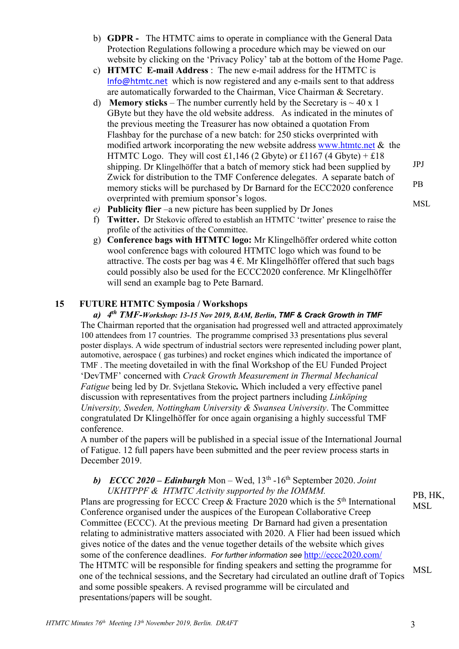- b) **GDPR** The HTMTC aims to operate in compliance with the General Data Protection Regulations following a procedure which may be viewed on our website by clicking on the 'Privacy Policy' tab at the bottom of the Home Page.
- c) **HTMTC E-mail Address** : The new e-mail address for the HTMTC is Info@htmtc.net which is now registered and any e-mails sent to that address are automatically forwarded to the Chairman, Vice Chairman & Secretary.
- d) **Memory sticks** The number currently held by the Secretary is  $\sim$  40 x 1 GByte but they have the old website address. As indicated in the minutes of the previous meeting the Treasurer has now obtained a quotation From Flashbay for the purchase of a new batch: for 250 sticks overprinted with modified artwork incorporating the new website address www.htmtc.net  $\&$  the HTMTC Logo. They will cost £1,146 (2 Gbyte) or £1167 (4 Gbyte) + £18 shipping. Dr Klingelhöffer that a batch of memory stick had been supplied by Zwick for distribution to the TMF Conference delegates. A separate batch of memory sticks will be purchased by Dr Barnard for the ECC2020 conference overprinted with premium sponsor's logos.
- *e)* **Publicity flier** –a new picture has been supplied by Dr Jones
- f) **Twitter.** Dr Stekovic offered to establish an HTMTC 'twitter' presence to raise the profile of the activities of the Committee.
- g) **Conference bags with HTMTC logo:** Mr Klingelhöffer ordered white cotton wool conference bags with coloured HTMTC logo which was found to be attractive. The costs per bag was  $4 \in$ . Mr Klingelhöffer offered that such bags could possibly also be used for the ECCC2020 conference. Mr Klingelhöffer will send an example bag to Pete Barnard.

### **15 FUTURE HTMTC Symposia / Workshops**

*a) 4th TMF-Workshop: 13-15 Nov 2019, BAM, Berlin, TMF & Crack Growth in TMF*  The Chairman reported that the organisation had progressed well and attracted approximately 100 attendees from 17 countries. The programme comprised 33 presentations plus several poster displays. A wide spectrum of industrial sectors were represented including power plant, automotive, aerospace ( gas turbines) and rocket engines which indicated the importance of TMF . The meeting dovetailed in with the final Workshop of the EU Funded Project 'DevTMF' concerned with *Crack Growth Measurement in Thermal Mechanical Fatigue* being led by Dr. Svjetlana Stekovic*.* Which included a very effective panel discussion with representatives from the project partners including *Linköping University, Sweden, Nottingham University & Swansea University*. The Committee congratulated Dr Klingelhöffer for once again organising a highly successful TMF conference.

A number of the papers will be published in a special issue of the International Journal of Fatigue. 12 full papers have been submitted and the peer review process starts in December 2019.

# *b) ECCC 2020 – Edinburgh* Mon – Wed, 13th -16th September 2020. *Joint UKHTPPF & HTMTC Activity supported by the IOMMM.*

Plans are progressing for ECCC Creep  $&$  Fracture 2020 which is the  $5<sup>th</sup>$  International Conference organised under the auspices of the European Collaborative Creep Committee (ECCC). At the previous meeting Dr Barnard had given a presentation relating to administrative matters associated with 2020. A Flier had been issued which gives notice of the dates and the venue together details of the website which gives some of the conference deadlines. *For further information see* http://eccc2020.com/ The HTMTC will be responsible for finding speakers and setting the programme for one of the technical sessions, and the Secretary had circulated an outline draft of Topics and some possible speakers. A revised programme will be circulated and presentations/papers will be sought.

PB, HK, **MSL** 

MSL

PB MSL

JPJ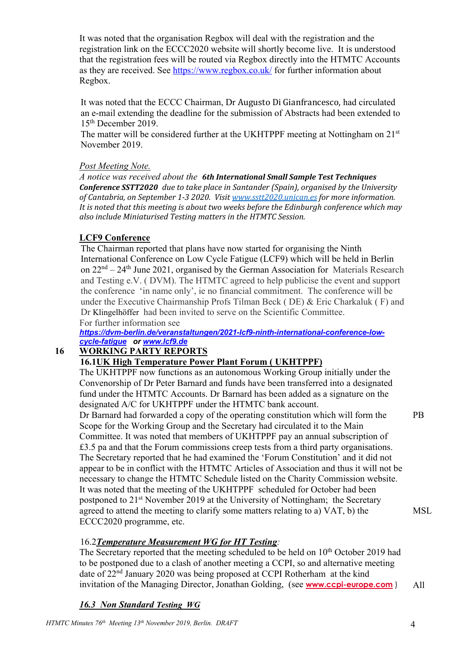It was noted that the organisation Regbox will deal with the registration and the registration link on the ECCC2020 website will shortly become live. It is understood that the registration fees will be routed via Regbox directly into the HTMTC Accounts as they are received. See https://www.regbox.co.uk/ for further information about Regbox.

It was noted that the ECCC Chairman, Dr Augusto Di Gianfrancesco, had circulated an e-mail extending the deadline for the submission of Abstracts had been extended to 15th December 2019.

The matter will be considered further at the UKHTPPF meeting at Nottingham on 21<sup>st</sup> November 2019.

# *Post Meeting Note.*

*A notice was received about the 6th International Small Sample Test Techniques Conference SSTT2020 due to take place in Santander (Spain), organised by the University of Cantabria, on September 1-3 2020. Visit www.sstt2020.unican.es for more information. It is noted that this meeting is about two weeks before the Edinburgh conference which may also include Miniaturised Testing matters in the HTMTC Session.*

# **LCF9 Conference**

The Chairman reported that plans have now started for organising the Ninth International Conference on Low Cycle Fatigue (LCF9) which will be held in Berlin on  $22<sup>nd</sup> - 24<sup>th</sup>$  June 2021, organised by the German Association for Materials Research and Testing e.V. ( DVM). The HTMTC agreed to help publicise the event and support the conference 'in name only', ie no financial commitment. The conference will be under the Executive Chairmanship Profs Tilman Beck ( DE) & Eric Charkaluk ( F) and Dr Klingelhöffer had been invited to serve on the Scientific Committee.

For further information see *https://dvm-berlin.de/veranstaltungen/2021-lcf9-ninth-international-conference-lowcycle-fatigue or www.lcf9.de*

# **16 WORKING PARTY REPORTS**

# **16.1UK High Temperature Power Plant Forum ( UKHTPPF)**

The UKHTPPF now functions as an autonomous Working Group initially under the Convenorship of Dr Peter Barnard and funds have been transferred into a designated fund under the HTMTC Accounts. Dr Barnard has been added as a signature on the designated A/C for UKHTPPF under the HTMTC bank account.

Dr Barnard had forwarded a copy of the operating constitution which will form the Scope for the Working Group and the Secretary had circulated it to the Main Committee. It was noted that members of UKHTPPF pay an annual subscription of £3.5 pa and that the Forum commissions creep tests from a third party organisations. The Secretary reported that he had examined the 'Forum Constitution' and it did not appear to be in conflict with the HTMTC Articles of Association and thus it will not be necessary to change the HTMTC Schedule listed on the Charity Commission website. It was noted that the meeting of the UKHTPPF scheduled for October had been postponed to 21st November 2019 at the University of Nottingham; the Secretary agreed to attend the meeting to clarify some matters relating to a) VAT, b) the ECCC2020 programme, etc.

#### 16.2*Temperature Measurement WG for HT Testing:*

The Secretary reported that the meeting scheduled to be held on 10<sup>th</sup> October 2019 had to be postponed due to a clash of another meeting a CCPI, so and alternative meeting date of 22nd January 2020 was being proposed at CCPI Rotherham at the kind invitation of the Managing Director, Jonathan Golding, (see **www.ccpi-europe.com** ) All

#### *16.3 Non Standard Testing WG*

PB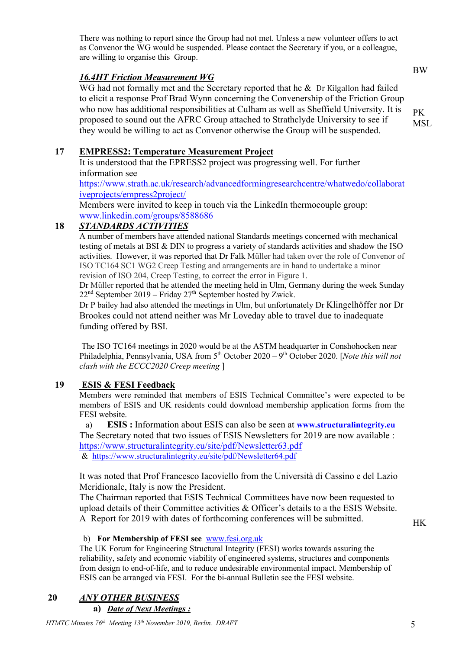There was nothing to report since the Group had not met. Unless a new volunteer offers to act as Convenor the WG would be suspended. Please contact the Secretary if you, or a colleague, are willing to organise this Group.

# *16.4HT Friction Measurement WG*

WG had not formally met and the Secretary reported that he  $\&$  Dr Kilgallon had failed to elicit a response Prof Brad Wynn concerning the Convenership of the Friction Group who now has additional responsibilities at Culham as well as Sheffield University. It is proposed to sound out the AFRC Group attached to Strathclyde University to see if they would be willing to act as Convenor otherwise the Group will be suspended.

# **17 EMPRESS2: Temperature Measurement Project**

It is understood that the EPRESS2 project was progressing well. For further information see

https://www.strath.ac.uk/research/advancedformingresearchcentre/whatwedo/collaborat iveprojects/empress2project/

Members were invited to keep in touch via the LinkedIn thermocouple group: www.linkedin.com/groups/8588686

### **18** *STANDARDS ACTIVITIES*

A number of members have attended national Standards meetings concerned with mechanical testing of metals at BSI & DIN to progress a variety of standards activities and shadow the ISO activities. However, it was reported that Dr Falk Müller had taken over the role of Convenor of ISO TC164 SC1 WG2 Creep Testing and arrangements are in hand to undertake a minor revision of ISO 204, Creep Testing, to correct the error in Figure 1.

Dr Müller reported that he attended the meeting held in Ulm, Germany during the week Sunday  $22<sup>nd</sup>$  September 2019 – Friday  $27<sup>th</sup>$  September hosted by Zwick.

Dr P bailey had also attended the meetings in Ulm, but unfortunately Dr Klingelhöffer nor Dr Brookes could not attend neither was Mr Loveday able to travel due to inadequate funding offered by BSI.

The ISO TC164 meetings in 2020 would be at the ASTM headquarter in Conshohocken near Philadelphia, Pennsylvania, USA from 5<sup>th</sup> October 2020 – 9<sup>th</sup> October 2020. [*Note this will not clash with the ECCC2020 Creep meeting* ]

#### **19 ESIS & FESI Feedback**

Members were reminded that members of ESIS Technical Committee's were expected to be members of ESIS and UK residents could download membership application forms from the FESI website.

a) **ESIS :** Information about ESIS can also be seen at **www.structuralintegrity.eu** The Secretary noted that two issues of ESIS Newsletters for 2019 are now available : https://www.structuralintegrity.eu/site/pdf/Newsletter63.pdf & https://www.structuralintegrity.eu/site/pdf/Newsletter64.pdf

It was noted that Prof Francesco Iacoviello from the Università di Cassino e del Lazio Meridionale, Italy is now the President.

The Chairman reported that ESIS Technical Committees have now been requested to upload details of their Committee activities & Officer's details to a the ESIS Website. A Report for 2019 with dates of forthcoming conferences will be submitted.

b) **For Membership of FESI see** www.fesi.org.uk

The UK Forum for Engineering Structural Integrity (FESI) works towards assuring the reliability, safety and economic viability of engineered systems, structures and components from design to end-of-life, and to reduce undesirable environmental impact. Membership of ESIS can be arranged via FESI. For the bi-annual Bulletin see the FESI website.

# **20** *ANY OTHER BUSINESS*

**a)** *Date of Next Meetings :* 

HK

BW

PK MSL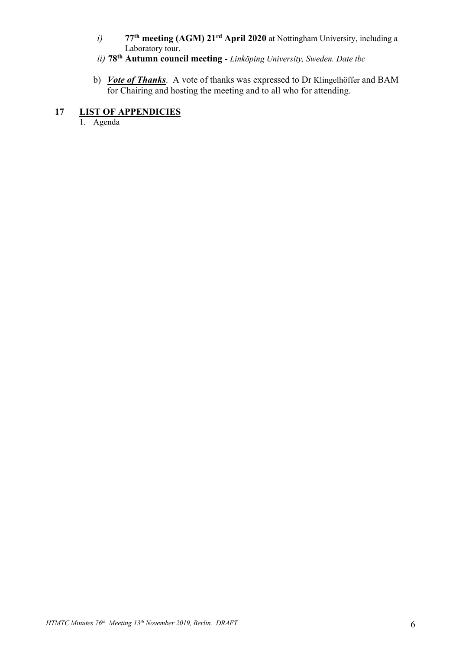- *i)* **77th meeting (AGM) 21rd April 2020** at Nottingham University, including a Laboratory tour.
- *ii)* **78th Autumn council meeting -** *Linköping University, Sweden. Date tbc*
- b) *Vote of Thanks*. A vote of thanks was expressed to Dr Klingelhöffer and BAM for Chairing and hosting the meeting and to all who for attending.

# **17 LIST OF APPENDICIES**

1. Agenda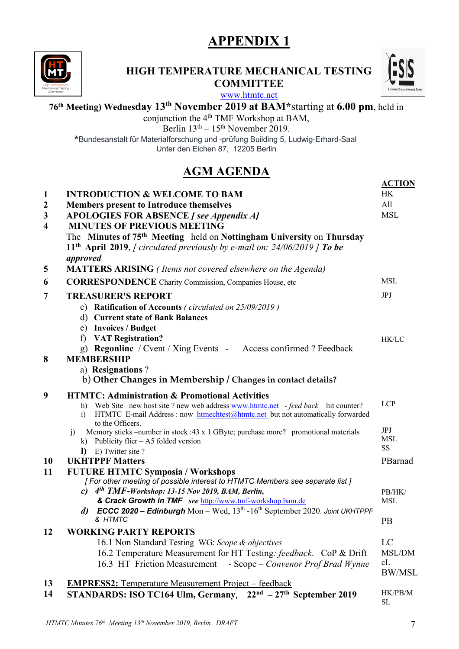# **APPENDIX 1**



# **HIGH TEMPERATURE MECHANICAL TESTING COMMITTEE**



www.htmtc.net

# **76th Meeting) Wednesday 13th November 2019 at BAM\***starting at **6.00 pm**, held in

conjunction the 4<sup>th</sup> TMF Workshop at BAM,

Berlin  $13<sup>th</sup> - 15<sup>th</sup>$  November 2019.

**\***Bundesanstalt für Materialforschung und -prüfung Building 5, Ludwig-Erhard-Saal Unter den Eichen 87, 12205 Berlin

# **AGM AGENDA**

|                         |                                                                                                                                                                                                                                                  | <b>ACTION</b>                         |
|-------------------------|--------------------------------------------------------------------------------------------------------------------------------------------------------------------------------------------------------------------------------------------------|---------------------------------------|
| $\mathbf{1}$            | <b>INTRODUCTION &amp; WELCOME TO BAM</b>                                                                                                                                                                                                         | <b>HK</b>                             |
| $\boldsymbol{2}$        | <b>Members present to Introduce themselves</b>                                                                                                                                                                                                   | All                                   |
| $\mathbf{3}$            | <b>APOLOGIES FOR ABSENCE</b> / see Appendix A)                                                                                                                                                                                                   | <b>MSL</b>                            |
| $\overline{\mathbf{4}}$ | <b>MINUTES OF PREVIOUS MEETING</b>                                                                                                                                                                                                               |                                       |
|                         | The Minutes of 75 <sup>th</sup> Meeting held on Nottingham University on Thursday<br>11 <sup>th</sup> April 2019, <i>[circulated previously by e-mail on: 24/06/2019</i> ] To be<br>approved                                                     |                                       |
| 5                       | MATTERS ARISING (Items not covered elsewhere on the Agenda)                                                                                                                                                                                      |                                       |
| 6                       | <b>CORRESPONDENCE</b> Charity Commission, Companies House, etc                                                                                                                                                                                   | <b>MSL</b>                            |
| 7                       | <b>TREASURER'S REPORT</b>                                                                                                                                                                                                                        | JPJ                                   |
|                         | c) Ratification of Accounts (circulated on 25/09/2019)                                                                                                                                                                                           |                                       |
|                         | d) Current state of Bank Balances                                                                                                                                                                                                                |                                       |
|                         | e) Invoices / Budget                                                                                                                                                                                                                             |                                       |
|                         | <b>VAT Registration?</b><br>f                                                                                                                                                                                                                    | HK/LC                                 |
|                         | g) Regonline / Cvent / Xing Events - Access confirmed ? Feedback                                                                                                                                                                                 |                                       |
| 8                       | <b>MEMBERSHIP</b>                                                                                                                                                                                                                                |                                       |
|                         | a) Resignations?<br>b) Other Changes in Membership / Changes in contact details?                                                                                                                                                                 |                                       |
|                         |                                                                                                                                                                                                                                                  |                                       |
| 9                       | <b>HTMTC: Administration &amp; Promotional Activities</b><br>h) Web Site –new host site ? new web address www.htmtc.net -feed back hit counter?<br>HTMTC E-mail Address : now htmechtest@htmtc.net_but not automatically forwarded<br>$\ddot{1}$ | <b>LCP</b>                            |
|                         | to the Officers.<br>Memory sticks –number in stock :43 x 1 GByte; purchase more? promotional materials<br>j)<br>k) Publicity flier $- A5$ folded version                                                                                         | <b>JPJ</b><br><b>MSL</b><br><b>SS</b> |
| <b>10</b>               | I) E) Twitter site?<br><b>UKHTPPF Matters</b>                                                                                                                                                                                                    | PBarnad                               |
| 11                      | <b>FUTURE HTMTC Symposia / Workshops</b>                                                                                                                                                                                                         |                                       |
|                         | [For other meeting of possible interest to HTMTC Members see separate list]                                                                                                                                                                      |                                       |
|                         | 4 <sup>th</sup> TMF-Workshop: 13-15 Nov 2019, BAM, Berlin,<br>$\mathbf{c}$                                                                                                                                                                       | PB/HK/                                |
|                         | & Crack Growth in TMF see http://www.tmf-workshop.bam.de                                                                                                                                                                                         | <b>MSL</b>                            |
|                         | <b>ECCC 2020 - Edinburgh</b> Mon - Wed, $13th$ -16 <sup>th</sup> September 2020. Joint UKHTPPF<br>d)                                                                                                                                             |                                       |
|                         | & HTMTC                                                                                                                                                                                                                                          | PB                                    |
| 12                      | <b>WORKING PARTY REPORTS</b>                                                                                                                                                                                                                     |                                       |
|                         | 16.1 Non Standard Testing WG: Scope & objectives                                                                                                                                                                                                 | LC                                    |
|                         | 16.2 Temperature Measurement for HT Testing: feedback. CoP & Drift                                                                                                                                                                               | MSL/DM<br>cL                          |
|                         | 16.3 HT Friction Measurement - Scope – Convenor Prof Brad Wynne                                                                                                                                                                                  | <b>BW/MSL</b>                         |
| 13                      | <b>EMPRESS2:</b> Temperature Measurement Project – feedback                                                                                                                                                                                      |                                       |
| 14                      | $22nd - 27th$ September 2019<br>STANDARDS: ISO TC164 Ulm, Germany,                                                                                                                                                                               | HK/PB/M<br><b>SL</b>                  |